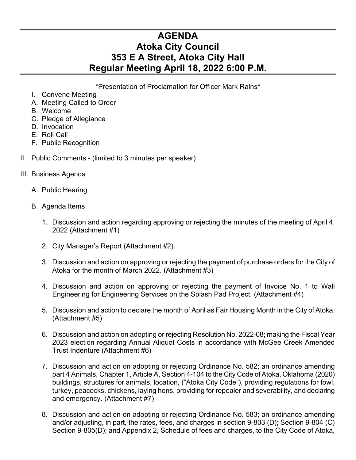## **AGENDA Atoka City Council 353 E A Street, Atoka City Hall Regular Meeting April 18, 2022 6:00 P.M.**

\*Presentation of Proclamation for Officer Mark Rains\*

- I. Convene Meeting
- A. Meeting Called to Order
- B. Welcome
- C. Pledge of Allegiance
- D. Invocation
- E. Roll Call
- F. Public Recognition
- II. Public Comments (limited to 3 minutes per speaker)
- III. Business Agenda
	- A. Public Hearing
	- B. Agenda Items
		- 1. Discussion and action regarding approving or rejecting the minutes of the meeting of April 4, 2022 (Attachment #1)
		- 2. City Manager's Report (Attachment #2).
		- 3. Discussion and action on approving or rejecting the payment of purchase orders for the City of Atoka for the month of March 2022. (Attachment #3)
		- 4. Discussion and action on approving or rejecting the payment of Invoice No. 1 to Wall Engineering for Engineering Services on the Splash Pad Project. (Attachment #4)
		- 5. Discussion and action to declare the month of April as Fair Housing Month in the City of Atoka. (Attachment #5)
		- 6. Discussion and action on adopting or rejecting Resolution No. 2022-08; making the Fiscal Year 2023 election regarding Annual Aliquot Costs in accordance with McGee Creek Amended Trust Indenture (Attachment #6)
		- 7. Discussion and action on adopting or rejecting Ordinance No. 582; an ordinance amending part 4 Animals, Chapter 1, Article A, Section 4-104 to the City Code of Atoka, Oklahoma (2020) buildings, structures for animals, location, ("Atoka City Code"), providing regulations for fowl, turkey, peacocks, chickens, laying hens, providing for repealer and severability, and declaring and emergency. (Attachment #7)
		- 8. Discussion and action on adopting or rejecting Ordinance No. 583; an ordinance amending and/or adjusting, in part, the rates, fees, and charges in section 9-803 (D); Section 9-804 (C) Section 9-805(D); and Appendix 2, Schedule of fees and charges, to the City Code of Atoka,